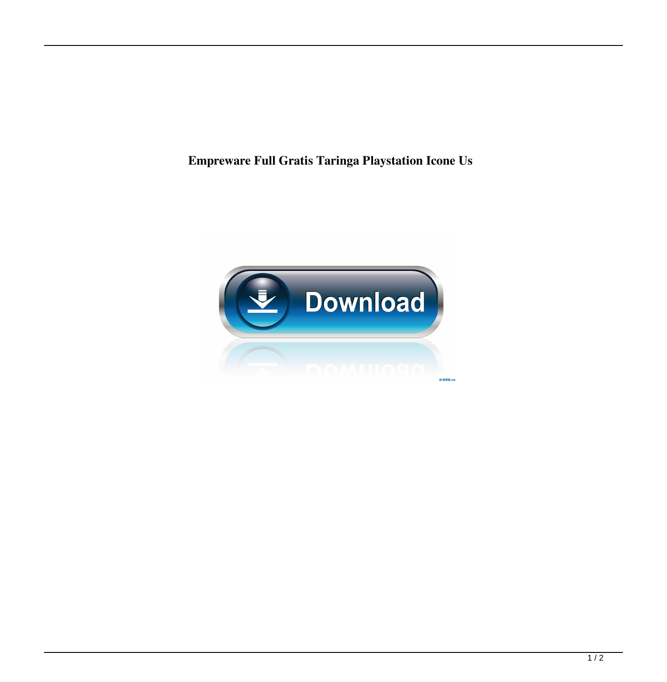**Empreware Full Gratis Taringa Playstation Icone Us**